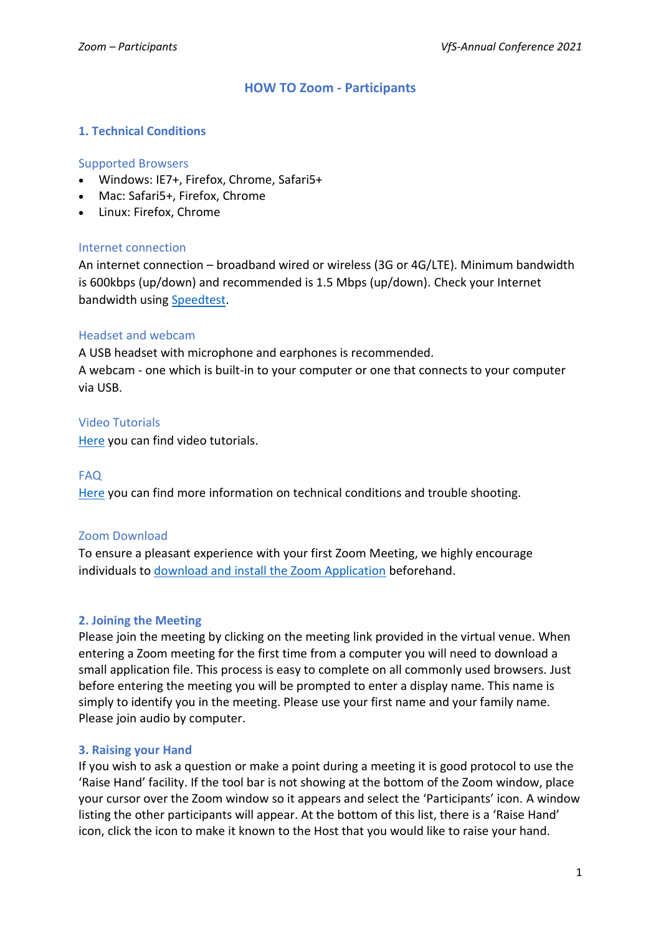# **HOW TO Zoom - Participants**

### **1. Technical Conditions**

#### Supported Browsers

- Windows: IE7+, Firefox, Chrome, Safari5+
- Mac: Safari5+, Firefox, Chrome
- Linux: Firefox, Chrome

### Internet connection

An internet connection – broadband wired or wireless (3G or 4G/LTE). Minimum bandwidth is 600kbps (up/down) and recommended is 1.5 Mbps (up/down). Check your Internet bandwidth using [Speedtest.](https://www.speedtest.net/)

### Headset and webcam

A USB headset with microphone and earphones is recommended.

A webcam - one which is built-in to your computer or one that connects to your computer via USB.

## Video Tutorials

[Here](https://support.zoom.us/hc/de/articles/206618765-Zoom-video-tutorials) you can find video tutorials.

#### FAQ

[Here](https://support.zoom.us/hc/en-us/sections/200305593-Troubleshooting) you can find more information on technical conditions and trouble shooting.

#### Zoom Download

To ensure a pleasant experience with your first Zoom Meeting, we highly encourage individuals t[o download and install the Zoom Application](https://zoom.us/download) beforehand.

#### **2. Joining the Meeting**

Please join the meeting by clicking on the meeting link provided in the virtual venue. When entering a Zoom meeting for the first time from a computer you will need to download a small application file. This process is easy to complete on all commonly used browsers. Just before entering the meeting you will be prompted to enter a display name. This name is simply to identify you in the meeting. Please use your first name and your family name. Please join audio by computer.

#### **3. Raising your Hand**

If you wish to ask a question or make a point during a meeting it is good protocol to use the 'Raise Hand' facility. If the tool bar is not showing at the bottom of the Zoom window, place your cursor over the Zoom window so it appears and select the 'Participants' icon. A window listing the other participants will appear. At the bottom of this list, there is a 'Raise Hand' icon, click the icon to make it known to the Host that you would like to raise your hand.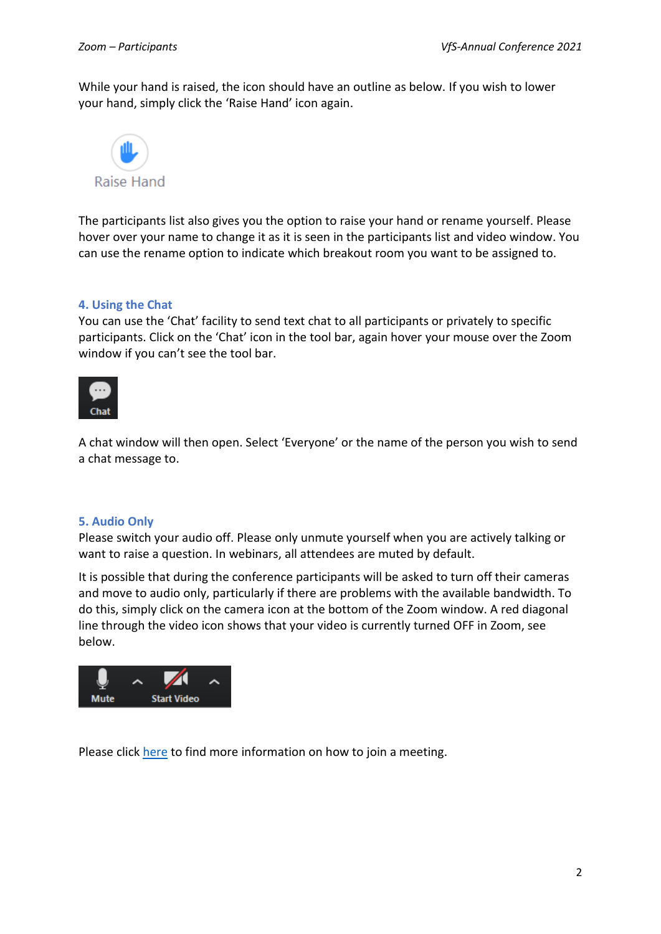While your hand is raised, the icon should have an outline as below. If you wish to lower your hand, simply click the 'Raise Hand' icon again.



The participants list also gives you the option to raise your hand or rename yourself. Please hover over your name to change it as it is seen in the participants list and video window. You can use the rename option to indicate which breakout room you want to be assigned to.

#### **4. Using the Chat**

You can use the 'Chat' facility to send text chat to all participants or privately to specific participants. Click on the 'Chat' icon in the tool bar, again hover your mouse over the Zoom window if you can't see the tool bar.



A chat window will then open. Select 'Everyone' or the name of the person you wish to send a chat message to.

#### **5. Audio Only**

Please switch your audio off. Please only unmute yourself when you are actively talking or want to raise a question. In webinars, all attendees are muted by default.

It is possible that during the conference participants will be asked to turn off their cameras and move to audio only, particularly if there are problems with the available bandwidth. To do this, simply click on the camera icon at the bottom of the Zoom window. A red diagonal line through the video icon shows that your video is currently turned OFF in Zoom, see below.



Please clic[k here](https://support.zoom.us/hc/en-us/articles/201362193-Joining-a-meeting) to find more information on how to join a meeting.